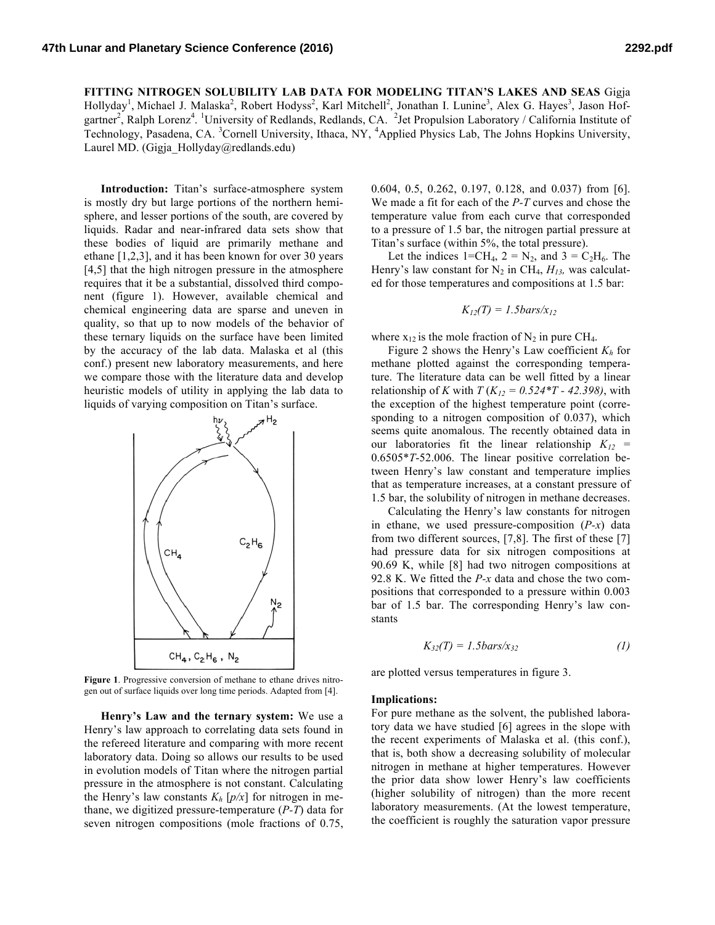**FITTING NITROGEN SOLUBILITY LAB DATA FOR MODELING TITAN'S LAKES AND SEAS** Gigja Hollyday<sup>1</sup>, Michael J. Malaska<sup>2</sup>, Robert Hodyss<sup>2</sup>, Karl Mitchell<sup>2</sup>, Jonathan I. Lunine<sup>3</sup>, Alex G. Hayes<sup>3</sup>, Jason Hofgartner<sup>2</sup>, Ralph Lorenz<sup>4</sup>. <sup>1</sup>University of Redlands, Redlands, CA. <sup>2</sup>Jet Propulsion Laboratory / California Institute of Technology, Pasadena, CA. <sup>3</sup>Cornell University, Ithaca, NY, <sup>4</sup>Applied Physics Lab, The Johns Hopkins University, Laurel MD. (Gigja\_Hollyday@redlands.edu)

**Introduction:** Titan's surface-atmosphere system is mostly dry but large portions of the northern hemisphere, and lesser portions of the south, are covered by liquids. Radar and near-infrared data sets show that these bodies of liquid are primarily methane and ethane [1,2,3], and it has been known for over 30 years [4,5] that the high nitrogen pressure in the atmosphere requires that it be a substantial, dissolved third component (figure 1). However, available chemical and chemical engineering data are sparse and uneven in quality, so that up to now models of the behavior of these ternary liquids on the surface have been limited by the accuracy of the lab data. Malaska et al (this conf.) present new laboratory measurements, and here we compare those with the literature data and develop heuristic models of utility in applying the lab data to liquids of varying composition on Titan's surface.



**Figure 1**. Progressive conversion of methane to ethane drives nitrogen out of surface liquids over long time periods. Adapted from [4].

**Henry's Law and the ternary system:** We use a Henry's law approach to correlating data sets found in the refereed literature and comparing with more recent laboratory data. Doing so allows our results to be used in evolution models of Titan where the nitrogen partial pressure in the atmosphere is not constant. Calculating the Henry's law constants  $K_h$  [ $p/x$ ] for nitrogen in methane, we digitized pressure-temperature (*P-T*) data for seven nitrogen compositions (mole fractions of 0.75,

0.604, 0.5, 0.262, 0.197, 0.128, and 0.037) from [6]. We made a fit for each of the *P-T* curves and chose the temperature value from each curve that corresponded to a pressure of 1.5 bar, the nitrogen partial pressure at Titan's surface (within 5%, the total pressure).

Let the indices  $1 = CH_4$ ,  $2 = N_2$ , and  $3 = C_2H_6$ . The Henry's law constant for  $N_2$  in CH<sub>4</sub>,  $H_{13}$ , was calculated for those temperatures and compositions at 1.5 bar:

$$
K_{12}(T) = 1.5 \text{bars}/x_{12}
$$

where  $x_{12}$  is the mole fraction of  $N_2$  in pure CH<sub>4</sub>.

Figure 2 shows the Henry's Law coefficient  $K_h$  for methane plotted against the corresponding temperature. The literature data can be well fitted by a linear relationship of *K* with  $T(K_{12} = 0.524 * T - 42.398)$ , with the exception of the highest temperature point (corresponding to a nitrogen composition of 0.037), which seems quite anomalous. The recently obtained data in our laboratories fit the linear relationship  $K_{12}$  = 0.6505\**T*-52.006. The linear positive correlation between Henry's law constant and temperature implies that as temperature increases, at a constant pressure of 1.5 bar, the solubility of nitrogen in methane decreases.

Calculating the Henry's law constants for nitrogen in ethane, we used pressure-composition (*P-x*) data from two different sources, [7,8]. The first of these [7] had pressure data for six nitrogen compositions at 90.69 K, while [8] had two nitrogen compositions at 92.8 K. We fitted the *P-x* data and chose the two compositions that corresponded to a pressure within 0.003 bar of 1.5 bar. The corresponding Henry's law constants

$$
K_{32}(T) = 1.5 \text{bars}/x_{32} \tag{1}
$$

are plotted versus temperatures in figure 3.

## **Implications:**

For pure methane as the solvent, the published laboratory data we have studied [6] agrees in the slope with the recent experiments of Malaska et al. (this conf.), that is, both show a decreasing solubility of molecular nitrogen in methane at higher temperatures. However the prior data show lower Henry's law coefficients (higher solubility of nitrogen) than the more recent laboratory measurements. (At the lowest temperature, the coefficient is roughly the saturation vapor pressure